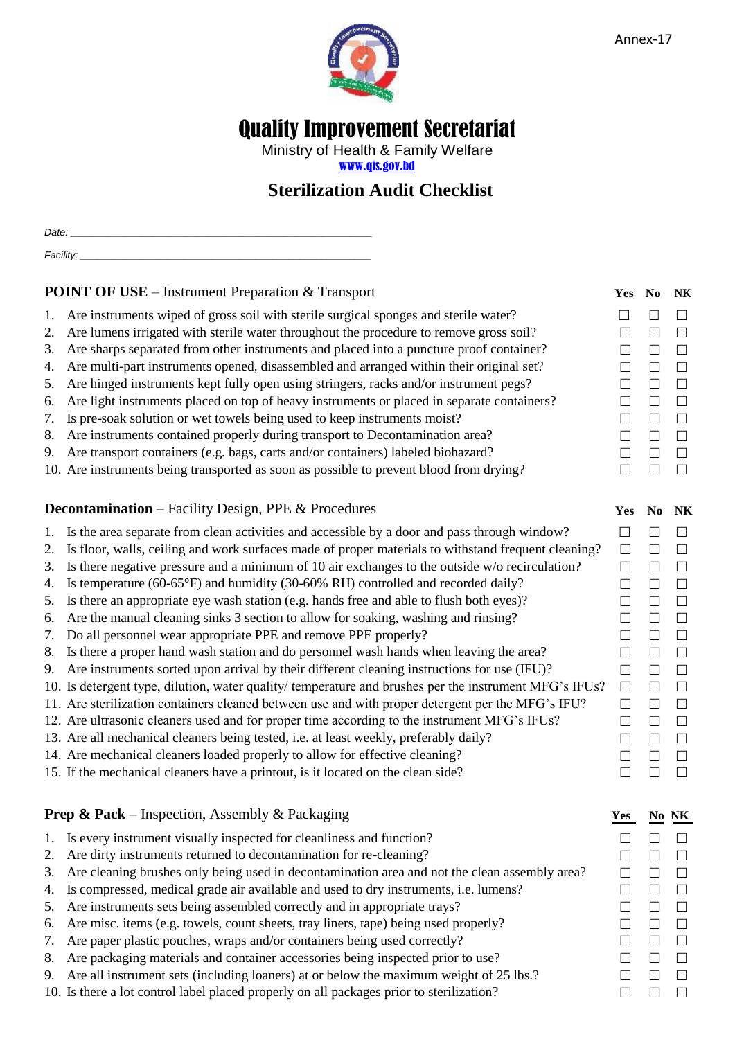

# Quality Improvement Secretariat

Ministry of Health & Family Welfare [www.qis.gov.bd](http://www.qis.gov.bd/)

## **Sterilization Audit Checklist**

*Date: \_\_\_\_\_\_\_\_\_\_\_\_\_\_\_\_\_\_\_\_\_\_\_\_\_\_\_\_\_\_\_\_\_\_\_\_\_\_\_\_\_\_\_\_\_\_\_\_\_\_\_\_\_\_\_*

| <b>POINT OF USE</b> – Instrument Preparation & Transport                             | Yes No NK            |  |
|--------------------------------------------------------------------------------------|----------------------|--|
| Are instruments wined of gross soil with sterile surgical sponges and sterile water? | $\Box$ $\Box$ $\Box$ |  |

*Facility: \_\_\_\_\_\_\_\_\_\_\_\_\_\_\_\_\_\_\_\_\_\_\_\_\_\_\_\_\_\_\_\_\_\_\_\_\_\_\_\_\_\_\_\_\_\_\_\_\_\_\_\_\_*

- Are instruments wiped of gross soil with sterile surgical sponges and sterile water?
- 2. Are lumens irrigated with sterile water throughout the procedure to remove gross soil?
- 3. Are sharps separated from other instruments and placed into a puncture proof container?
- 4. Are multi-part instruments opened, disassembled and arranged within their original set? 5. Are hinged instruments kept fully open using stringers, racks and/or instrument pegs?
- 6. Are light instruments placed on top of heavy instruments or placed in separate containers?
- 7. Is pre-soak solution or wet towels being used to keep instruments moist?
- 8. Are instruments contained properly during transport to Decontamination area?
- 9. Are transport containers (e.g. bags, carts and/or containers) labeled biohazard?
- 10. Are instruments being transported as soon as possible to prevent blood from drying?

#### **Decontamination** – Facility Design, PPE & Procedures

- 1. Is the area separate from clean activities and accessible by a door and pass through window?
- 2. Is floor, walls, ceiling and work surfaces made of proper materials to withstand frequent cleaning?
- 3. Is there negative pressure and a minimum of 10 air exchanges to the outside w/o recirculation?
- 4. Is temperature (60-65°F) and humidity (30-60% RH) controlled and recorded daily?
- 5. Is there an appropriate eye wash station (e.g. hands free and able to flush both eyes)?
- 6. Are the manual cleaning sinks 3 section to allow for soaking, washing and rinsing? 7. Do all personnel wear appropriate PPE and remove PPE properly?
- 8. Is there a proper hand wash station and do personnel wash hands when leaving the area?
- 9. Are instruments sorted upon arrival by their different cleaning instructions for use (IFU)?
- 10. Is detergent type, dilution, water quality/ temperature and brushes per the instrument MFG's IFUs?
- 11. Are sterilization containers cleaned between use and with proper detergent per the MFG's IFU?
- 12. Are ultrasonic cleaners used and for proper time according to the instrument MFG's IFUs?
- 13. Are all mechanical cleaners being tested, i.e. at least weekly, preferably daily?
- 14. Are mechanical cleaners loaded properly to allow for effective cleaning? 15. If the mechanical cleaners have a printout, is it located on the clean side?

#### **Prep & Pack** – Inspection, Assembly & Packaging

- 1. Is every instrument visually inspected for cleanliness and function?
- 2. Are dirty instruments returned to decontamination for re-cleaning?
- 3. Are cleaning brushes only being used in decontamination area and not the clean assembly area?
- 4. Is compressed, medical grade air available and used to dry instruments, i.e. lumens?
- 5. Are instruments sets being assembled correctly and in appropriate trays?
- 6. Are misc. items (e.g. towels, count sheets, tray liners, tape) being used properly?
- 7. Are paper plastic pouches, wraps and/or containers being used correctly?
- 8. Are packaging materials and container accessories being inspected prior to use?
- 9. Are all instrument sets (including loaners) at or below the maximum weight of 25 lbs.?  $\square$
- 10. Is there a lot control label placed properly on all packages prior to sterilization?

| Yes           | No     | NK             |
|---------------|--------|----------------|
| $\Box$        | $\Box$ | $\Box$         |
| $\Box$        | $\Box$ | $\Box$         |
| $\Box$        | $\Box$ | $\Box$         |
| $\Box$        | $\Box$ | $\Box$         |
| $\Box$        | $\Box$ | $\Box$         |
| $\Box$        | $\Box$ | $\Box$         |
| $\Box$        | $\Box$ | $\Box$         |
| $\Box$        | $\Box$ | $\Box$         |
| $\Box$        | $\Box$ | $\Box$         |
| $\Box$        | $\Box$ | $\Box$         |
| Yes           | No     | N <sub>K</sub> |
| $\Box$        | $\Box$ | $\Box$         |
| $\Box$        | $\Box$ | $\Box$         |
| $\Box$        | $\Box$ | $\Box$         |
| $\Box$        | $\Box$ | $\Box$         |
| $\Box$        | $\Box$ | $\Box$         |
| $\Box$        | $\Box$ | $\Box$         |
| $\Box$        | $\Box$ | $\Box$         |
| $\Box$        | $\Box$ | $\Box$         |
| $\Box$        | $\Box$ | $\Box$         |
| $\Box$        | $\Box$ | $\Box$         |
| $\Box$        | $\Box$ | $\Box$         |
| $\Box$        | $\Box$ | $\Box$         |
| $\Box$        | $\Box$ | $\Box$         |
| $\Box$        | $\Box$ | $\Box$         |
| $\Box$        | $\Box$ | $\Box$         |
| $\epsilon$ es | No     | NK             |
| $\Box$        | $\Box$ | $\Box$         |
| $\Box$        | $\Box$ | $\Box$         |
| $\Box$        | $\Box$ | $\Box$         |
| $\Box$        | $\Box$ | $\Box$         |
| $\Box$        | $\Box$ | $\Box$         |
| $\Box$        | $\Box$ | $\Box$         |
| П             | П      | П              |